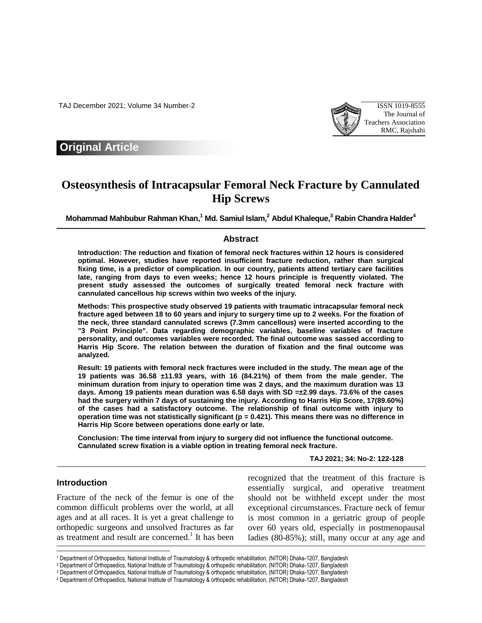TAJ December 2021; Volume 34 Number-2 ISSN 1019-8555



## **Original Article**

# **Osteosynthesis of Intracapsular Femoral Neck Fracture by Cannulated Hip Screws**

**Mohammad Mahbubur Rahman Khan, <sup>1</sup> Md. Samiul Islam, <sup>2</sup> Abdul Khaleque, <sup>3</sup> Rabin Chandra Halder<sup>4</sup>**

#### **Abstract**

**Introduction: The reduction and fixation of femoral neck fractures within 12 hours is considered optimal. However, studies have reported insufficient fracture reduction, rather than surgical fixing time, is a predictor of complication. In our country, patients attend tertiary care facilities late, ranging from days to even weeks; hence 12 hours principle is frequently violated. The present study assessed the outcomes of surgically treated femoral neck fracture with cannulated cancellous hip screws within two weeks of the injury.**

**Methods: This prospective study observed 19 patients with traumatic intracapsular femoral neck fracture aged between 18 to 60 years and injury to surgery time up to 2 weeks. For the fixation of the neck, three standard cannulated screws (7.3mm cancellous) were inserted according to the "3 Point Principle". Data regarding demographic variables, baseline variables of fracture personality, and outcomes variables were recorded. The final outcome was sassed according to Harris Hip Score. The relation between the duration of fixation and the final outcome was analyzed.** 

**Result: 19 patients with femoral neck fractures were included in the study. The mean age of the 19 patients was 36.58 ±11.93 years, with 16 (84.21%) of them from the male gender. The minimum duration from injury to operation time was 2 days, and the maximum duration was 13 days. Among 19 patients mean duration was 6.58 days with SD =±2.99 days. 73.6% of the cases had the surgery within 7 days of sustaining the injury. According to Harris Hip Score, 17(89.60%) of the cases had a satisfactory outcome. The relationship of final outcome with injury to operation time was not statistically significant (p = 0.421). This means there was no difference in Harris Hip Score between operations done early or late.**

**Conclusion: The time interval from injury to surgery did not influence the functional outcome. Cannulated screw fixation is a viable option in treating femoral neck fracture.**

**TAJ 2021; 34: No-2: 122-128**

#### **Introduction**

I

Fracture of the neck of the femur is one of the common difficult problems over the world, at all ages and at all races. It is yet a great challenge to orthopedic surgeons and unsolved fractures as far as treatment and result are concerned.<sup>1</sup> It has been recognized that the treatment of this fracture is essentially surgical, and operative treatment should not be withheld except under the most exceptional circumstances. Fracture neck of femur is most common in a geriatric group of people over 60 years old, especially in postmenopausal ladies (80-85%); still, many occur at any age and

<sup>1</sup> Department of Orthopaedics, National Institute of Traumatology & orthopedic rehabilitation, (NITOR) Dhaka-1207, Bangladesh

<sup>2</sup> Department of Orthopaedics, National Institute of Traumatology & orthopedic rehabilitation, (NITOR) Dhaka-1207, Bangladesh

<sup>3</sup> Department of Orthopaedics, National Institute of Traumatology & orthopedic rehabilitation, (NITOR) Dhaka-1207, Bangladesh

<sup>4</sup> Department of Orthopaedics, National Institute of Traumatology & orthopedic rehabilitation, (NITOR) Dhaka-1207, Bangladesh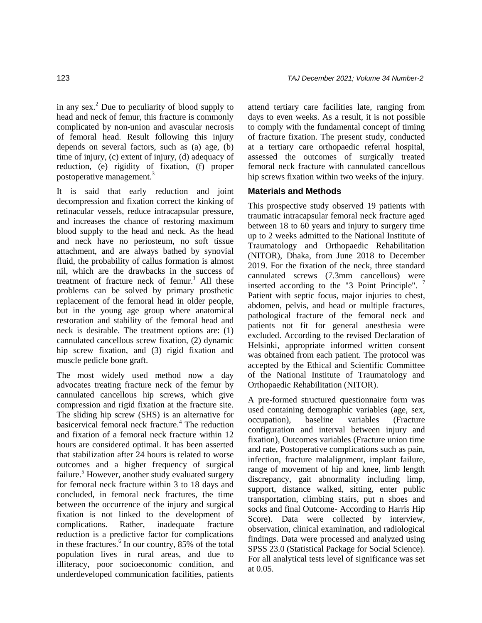in any sex. $2$  Due to peculiarity of blood supply to head and neck of femur, this fracture is commonly complicated by non-union and avascular necrosis of femoral head. Result following this injury depends on several factors, such as (a) age, (b) time of injury, (c) extent of injury, (d) adequacy of reduction, (e) rigidity of fixation, (f) proper postoperative management.<sup>3</sup>

It is said that early reduction and joint decompression and fixation correct the kinking of retinacular vessels, reduce intracapsular pressure, and increases the chance of restoring maximum blood supply to the head and neck. As the head and neck have no periosteum, no soft tissue attachment, and are always bathed by synovial fluid, the probability of callus formation is almost nil, which are the drawbacks in the success of treatment of fracture neck of femur. <sup>1</sup> All these problems can be solved by primary prosthetic replacement of the femoral head in older people, but in the young age group where anatomical restoration and stability of the femoral head and neck is desirable. The treatment options are: (1) cannulated cancellous screw fixation, (2) dynamic hip screw fixation, and (3) rigid fixation and muscle pedicle bone graft.

The most widely used method now a day advocates treating fracture neck of the femur by cannulated cancellous hip screws, which give compression and rigid fixation at the fracture site. The sliding hip screw (SHS) is an alternative for basicervical femoral neck fracture.<sup>4</sup> The reduction and fixation of a femoral neck fracture within 12 hours are considered optimal. It has been asserted that stabilization after 24 hours is related to worse outcomes and a higher frequency of surgical failure.<sup>5</sup> However, another study evaluated surgery for femoral neck fracture within 3 to 18 days and concluded, in femoral neck fractures, the time between the occurrence of the injury and surgical fixation is not linked to the development of complications. Rather, inadequate fracture reduction is a predictive factor for complications in these fractures.<sup>6</sup> In our country, 85% of the total population lives in rural areas, and due to illiteracy, poor socioeconomic condition, and underdeveloped communication facilities, patients

attend tertiary care facilities late, ranging from days to even weeks. As a result, it is not possible to comply with the fundamental concept of timing of fracture fixation. The present study, conducted at a tertiary care orthopaedic referral hospital, assessed the outcomes of surgically treated femoral neck fracture with cannulated cancellous hip screws fixation within two weeks of the injury.

### **Materials and Methods**

This prospective study observed 19 patients with traumatic intracapsular femoral neck fracture aged between 18 to 60 years and injury to surgery time up to 2 weeks admitted to the National Institute of Traumatology and Orthopaedic Rehabilitation (NITOR), Dhaka, from June 2018 to December 2019. For the fixation of the neck, three standard cannulated screws (7.3mm cancellous) were inserted according to the "3 Point Principle". <sup>7</sup> Patient with septic focus, major injuries to chest, abdomen, pelvis, and head or multiple fractures, pathological fracture of the femoral neck and patients not fit for general anesthesia were excluded. According to the revised Declaration of Helsinki, appropriate informed written consent was obtained from each patient. The protocol was accepted by the Ethical and Scientific Committee of the National Institute of Traumatology and Orthopaedic Rehabilitation (NITOR).

A pre-formed structured questionnaire form was used containing demographic variables (age, sex, occupation), baseline variables (Fracture configuration and interval between injury and fixation), Outcomes variables (Fracture union time and rate, Postoperative complications such as pain, infection, fracture malalignment, implant failure, range of movement of hip and knee, limb length discrepancy, gait abnormality including limp, support, distance walked, sitting, enter public transportation, climbing stairs, put n shoes and socks and final Outcome- According to Harris Hip Score). Data were collected by interview, observation, clinical examination, and radiological findings. Data were processed and analyzed using SPSS 23.0 (Statistical Package for Social Science). For all analytical tests level of significance was set at 0.05.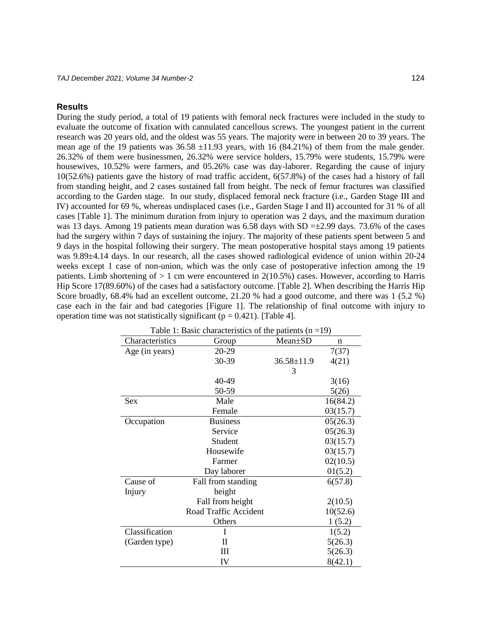#### **Results**

During the study period, a total of 19 patients with femoral neck fractures were included in the study to evaluate the outcome of fixation with cannulated cancellous screws. The youngest patient in the current research was 20 years old, and the oldest was 55 years. The majority were in between 20 to 39 years. The mean age of the 19 patients was  $36.58 \pm 11.93$  years, with 16 (84.21%) of them from the male gender. 26.32% of them were businessmen, 26.32% were service holders, 15.79% were students, 15.79% were housewives, 10.52% were farmers, and 05.26% case was day-laborer. Regarding the cause of injury 10(52.6%) patients gave the history of road traffic accident, 6(57.8%) of the cases had a history of fall from standing height, and 2 cases sustained fall from height. The neck of femur fractures was classified according to the Garden stage. In our study, displaced femoral neck fracture (i.e., Garden Stage III and IV) accounted for 69 %, whereas undisplaced cases (i.e., Garden Stage I and II) accounted for 31 % of all cases [Table 1]. The minimum duration from injury to operation was 2 days, and the maximum duration was 13 days. Among 19 patients mean duration was 6.58 days with  $SD = \pm 2.99$  days. 73.6% of the cases had the surgery within 7 days of sustaining the injury. The majority of these patients spent between 5 and 9 days in the hospital following their surgery. The mean postoperative hospital stays among 19 patients was 9.89±4.14 days. In our research, all the cases showed radiological evidence of union within 20-24 weeks except 1 case of non-union, which was the only case of postoperative infection among the 19 patients. Limb shortening of  $> 1$  cm were encountered in 2(10.5%) cases. However, according to Harris Hip Score 17(89.60%) of the cases had a satisfactory outcome. [Table 2]. When describing the Harris Hip Score broadly, 68.4% had an excellent outcome, 21.20 % had a good outcome, and there was 1 (5.2 %) case each in the fair and bad categories [Figure 1]. The relationship of final outcome with injury to operation time was not statistically significant ( $p = 0.421$ ). [Table 4].

| Table 1: Basic characteristics of the patients $(n = 19)$ |                               |                  |          |  |  |  |  |
|-----------------------------------------------------------|-------------------------------|------------------|----------|--|--|--|--|
| Characteristics                                           | Group                         | Mean±SD          |          |  |  |  |  |
| Age (in years)                                            | 20-29                         |                  | 7(37)    |  |  |  |  |
|                                                           | 30-39                         | $36.58 \pm 11.9$ | 4(21)    |  |  |  |  |
|                                                           |                               | 3                |          |  |  |  |  |
|                                                           | 40-49                         |                  | 3(16)    |  |  |  |  |
|                                                           | 50-59                         |                  | 5(26)    |  |  |  |  |
| <b>Sex</b>                                                | Male                          |                  | 16(84.2) |  |  |  |  |
|                                                           | Female                        |                  | 03(15.7) |  |  |  |  |
| Occupation                                                | <b>Business</b>               |                  | 05(26.3) |  |  |  |  |
|                                                           | Service                       |                  | 05(26.3) |  |  |  |  |
|                                                           | Student                       |                  | 03(15.7) |  |  |  |  |
|                                                           | Housewife                     |                  | 03(15.7) |  |  |  |  |
|                                                           | Farmer                        |                  | 02(10.5) |  |  |  |  |
|                                                           | Day laborer                   |                  | 01(5.2)  |  |  |  |  |
| Cause of                                                  | Fall from standing<br>6(57.8) |                  |          |  |  |  |  |
| Injury                                                    | height                        |                  |          |  |  |  |  |
|                                                           | Fall from height              |                  | 2(10.5)  |  |  |  |  |
|                                                           | Road Traffic Accident         |                  | 10(52.6) |  |  |  |  |
|                                                           | Others                        |                  | 1(5.2)   |  |  |  |  |
| Classification                                            | I                             |                  | 1(5.2)   |  |  |  |  |
| (Garden type)                                             | П                             |                  | 5(26.3)  |  |  |  |  |
|                                                           | Ш                             |                  | 5(26.3)  |  |  |  |  |
|                                                           | IV                            |                  | 8(42.1)  |  |  |  |  |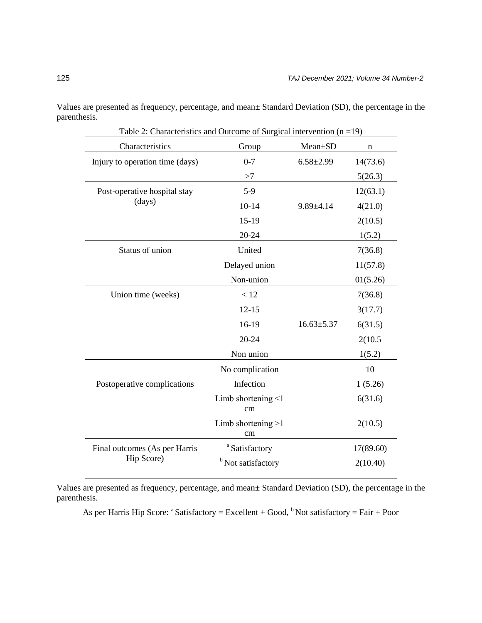Values are presented as frequency, percentage, and mean± Standard Deviation (SD), the percentage in the parenthesis.

| Characteristics                 | Group                          | Mean±SD          | $\mathbf n$ |
|---------------------------------|--------------------------------|------------------|-------------|
| Injury to operation time (days) | $0 - 7$                        | $6.58 \pm 2.99$  | 14(73.6)    |
|                                 | >7                             |                  | 5(26.3)     |
| Post-operative hospital stay    | $5-9$                          |                  |             |
| (days)                          | $10-14$                        | $9.89{\pm}4.14$  | 4(21.0)     |
|                                 | $15-19$                        |                  | 2(10.5)     |
|                                 | 20-24                          |                  | 1(5.2)      |
| Status of union                 | United                         |                  | 7(36.8)     |
|                                 | Delayed union                  |                  | 11(57.8)    |
|                                 | Non-union                      |                  | 01(5.26)    |
| Union time (weeks)              | < 12                           |                  | 7(36.8)     |
|                                 | $12 - 15$                      |                  | 3(17.7)     |
|                                 | 16-19                          | $16.63 \pm 5.37$ | 6(31.5)     |
|                                 | 20-24                          |                  | 2(10.5)     |
|                                 | Non union                      |                  |             |
|                                 | No complication                |                  | 10          |
| Postoperative complications     | Infection                      |                  | 1(5.26)     |
|                                 | Limb shortening $\leq 1$<br>cm |                  | 6(31.6)     |
|                                 | Limb shortening $>1$<br>cm     |                  | 2(10.5)     |
| Final outcomes (As per Harris   | <sup>a</sup> Satisfactory      |                  | 17(89.60)   |
| Hip Score)                      | <sup>b</sup> Not satisfactory  |                  | 2(10.40)    |

Table 2: Characteristics and Outcome of Surgical intervention  $(n = 19)$ 

Values are presented as frequency, percentage, and mean± Standard Deviation (SD), the percentage in the parenthesis.

As per Harris Hip Score:  $a^a$  Satisfactory = Excellent + Good,  $b^b$  Not satisfactory = Fair + Poor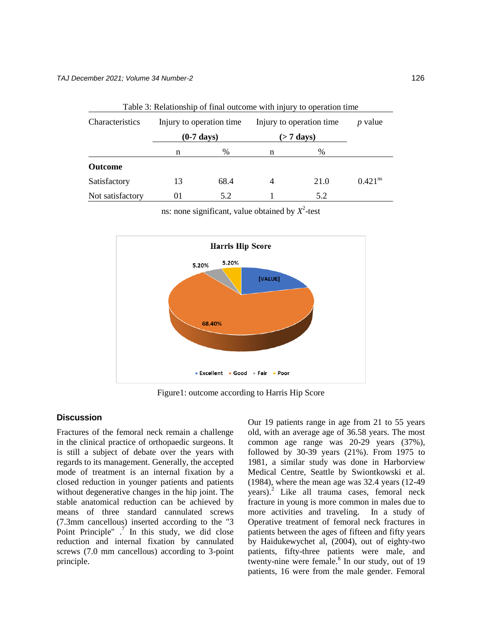| Table 3: Relationship of final outcome with injury to operation time |                                                  |      |                                            |      |                       |  |  |
|----------------------------------------------------------------------|--------------------------------------------------|------|--------------------------------------------|------|-----------------------|--|--|
| Characteristics                                                      | Injury to operation time<br>$(0-7 \text{ days})$ |      | Injury to operation time.<br>$($ > 7 days) |      | <i>p</i> value        |  |  |
|                                                                      |                                                  |      |                                            |      |                       |  |  |
|                                                                      | n                                                | $\%$ | n                                          | $\%$ |                       |  |  |
| <b>Outcome</b>                                                       |                                                  |      |                                            |      |                       |  |  |
| Satisfactory                                                         | 13                                               | 68.4 | 4                                          | 21.0 | $0.421$ <sup>ns</sup> |  |  |
| Not satisfactory                                                     | 01                                               | 5.2  |                                            | 5.2  |                       |  |  |

ns: none significant, value obtained by  $X^2$ -test



Figure1: outcome according to Harris Hip Score

#### **Discussion**

Fractures of the femoral neck remain a challenge in the clinical practice of orthopaedic surgeons. It is still a subject of debate over the years with regards to its management. Generally, the accepted mode of treatment is an internal fixation by a closed reduction in younger patients and patients without degenerative changes in the hip joint. The stable anatomical reduction can be achieved by means of three standard cannulated screws (7.3mm cancellous) inserted according to the "3 Point Principle"  $\cdot$ <sup>7</sup> In this study, we did close reduction and internal fixation by cannulated screws (7.0 mm cancellous) according to 3-point principle.

Our 19 patients range in age from 21 to 55 years old, with an average age of 36.58 years. The most common age range was 20-29 years (37%), followed by 30-39 years (21%). From 1975 to 1981, a similar study was done in Harborview Medical Centre, Seattle by Swiontkowski et al. (1984), where the mean age was 32.4 years (12-49 years).<sup>2</sup> Like all trauma cases, femoral neck fracture in young is more common in males due to more activities and traveling. In a study of Operative treatment of femoral neck fractures in patients between the ages of fifteen and fifty years by Haidukewychet al, (2004), out of eighty-two patients, fifty-three patients were male, and twenty-nine were female. $8 \text{ In our study, out of } 19$ patients, 16 were from the male gender. Femoral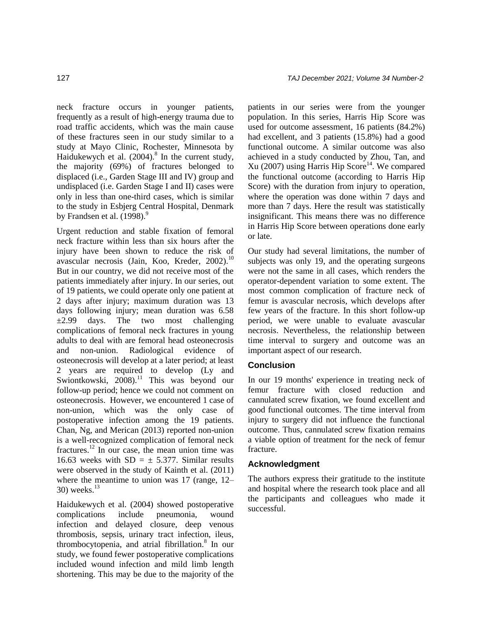neck fracture occurs in younger patients, frequently as a result of high-energy trauma due to road traffic accidents, which was the main cause of these fractures seen in our study similar to a study at Mayo Clinic, Rochester, Minnesota by Haidukewych et al.  $(2004)$ .<sup>8</sup> In the current study, the majority (69%) of fractures belonged to displaced (i.e., Garden Stage III and IV) group and undisplaced (i.e. Garden Stage I and II) cases were only in less than one-third cases, which is similar to the study in Esbjerg Central Hospital, Denmark by Frandsen et al.  $(1998)^9$ 

Urgent reduction and stable fixation of femoral neck fracture within less than six hours after the injury have been shown to reduce the risk of avascular necrosis (Jain, Koo, Kreder, 2002). $^{10}$ But in our country, we did not receive most of the patients immediately after injury. In our series, out of 19 patients, we could operate only one patient at 2 days after injury; maximum duration was 13 days following injury; mean duration was 6.58  $\pm 2.99$  days. The two most challenging complications of femoral neck fractures in young adults to deal with are femoral head osteonecrosis and non-union. Radiological evidence of osteonecrosis will develop at a later period; at least 2 years are required to develop (Ly and Swiontkowski,  $2008$ .<sup>11</sup> This was beyond our follow-up period; hence we could not comment on osteonecrosis. However, we encountered 1 case of non-union, which was the only case of postoperative infection among the 19 patients. Chan, Ng, and Merican (2013) reported non-union is a well-recognized complication of femoral neck fractures.<sup>12</sup> In our case, the mean union time was 16.63 weeks with  $SD = \pm 5.377$ . Similar results were observed in the study of Kainth et al. (2011) where the meantime to union was 17 (range, 12–  $30)$  weeks.<sup>13</sup>

Haidukewych et al. (2004) showed postoperative complications include pneumonia, wound infection and delayed closure, deep venous thrombosis, sepsis, urinary tract infection, ileus, thrombocytopenia, and atrial fibrillation.<sup>8</sup> In our study, we found fewer postoperative complications included wound infection and mild limb length shortening. This may be due to the majority of the

patients in our series were from the younger population. In this series, Harris Hip Score was used for outcome assessment, 16 patients (84.2%) had excellent, and 3 patients (15.8%) had a good functional outcome. A similar outcome was also achieved in a study conducted by Zhou, Tan, and Xu (2007) using Harris Hip Score<sup>14</sup>. We compared the functional outcome (according to Harris Hip Score) with the duration from injury to operation, where the operation was done within 7 days and more than 7 days. Here the result was statistically insignificant. This means there was no difference in Harris Hip Score between operations done early or late.

Our study had several limitations, the number of subjects was only 19, and the operating surgeons were not the same in all cases, which renders the operator-dependent variation to some extent. The most common complication of fracture neck of femur is avascular necrosis, which develops after few years of the fracture. In this short follow-up period, we were unable to evaluate avascular necrosis. Nevertheless, the relationship between time interval to surgery and outcome was an important aspect of our research.

#### **Conclusion**

In our 19 months' experience in treating neck of femur fracture with closed reduction and cannulated screw fixation, we found excellent and good functional outcomes. The time interval from injury to surgery did not influence the functional outcome. Thus, cannulated screw fixation remains a viable option of treatment for the neck of femur fracture.

#### **Acknowledgment**

The authors express their gratitude to the institute and hospital where the research took place and all the participants and colleagues who made it successful.